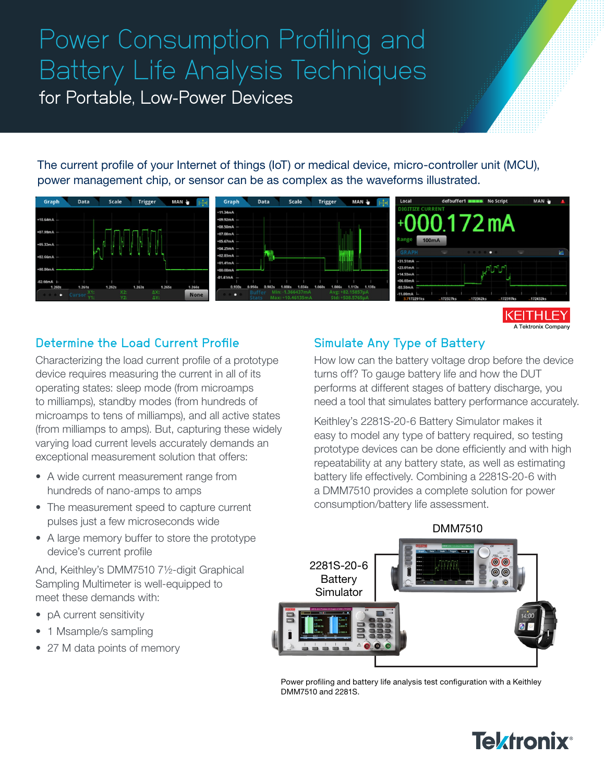# Power Consumption Profiling and Battery Life Analysis Techniques

for Portable, Low-Power Devices

The current profile of your Internet of things (IoT) or medical device, micro-controller unit (MCU), power management chip, or sensor can be as complex as the waveforms illustrated.



Tektronix Company

## Determine the Load Current Profile

Characterizing the load current profile of a prototype device requires measuring the current in all of its operating states: sleep mode (from microamps to milliamps), standby modes (from hundreds of microamps to tens of milliamps), and all active states (from milliamps to amps). But, capturing these widely varying load current levels accurately demands an exceptional measurement solution that offers:

- A wide current measurement range from hundreds of nano-amps to amps
- The measurement speed to capture current pulses just a few microseconds wide
- A large memory buffer to store the prototype device's current profile

And, Keithley's DMM7510 7½-digit Graphical Sampling Multimeter is well-equipped to meet these demands with:

- pA current sensitivity
- 1 Msample/s sampling
- 27 M data points of memory

### Simulate Any Type of Battery

How low can the battery voltage drop before the device turns off? To gauge battery life and how the DUT performs at different stages of battery discharge, you need a tool that simulates battery performance accurately.

Keithley's 2281S-20-6 Battery Simulator makes it easy to model any type of battery required, so testing prototype devices can be done efficiently and with high repeatability at any battery state, as well as estimating battery life effectively. Combining a 2281S-20-6 with a DMM7510 provides a complete solution for power consumption/battery life assessment.



Power profiling and battery life analysis test configuration with a Keithley DMM7510 and 2281S.